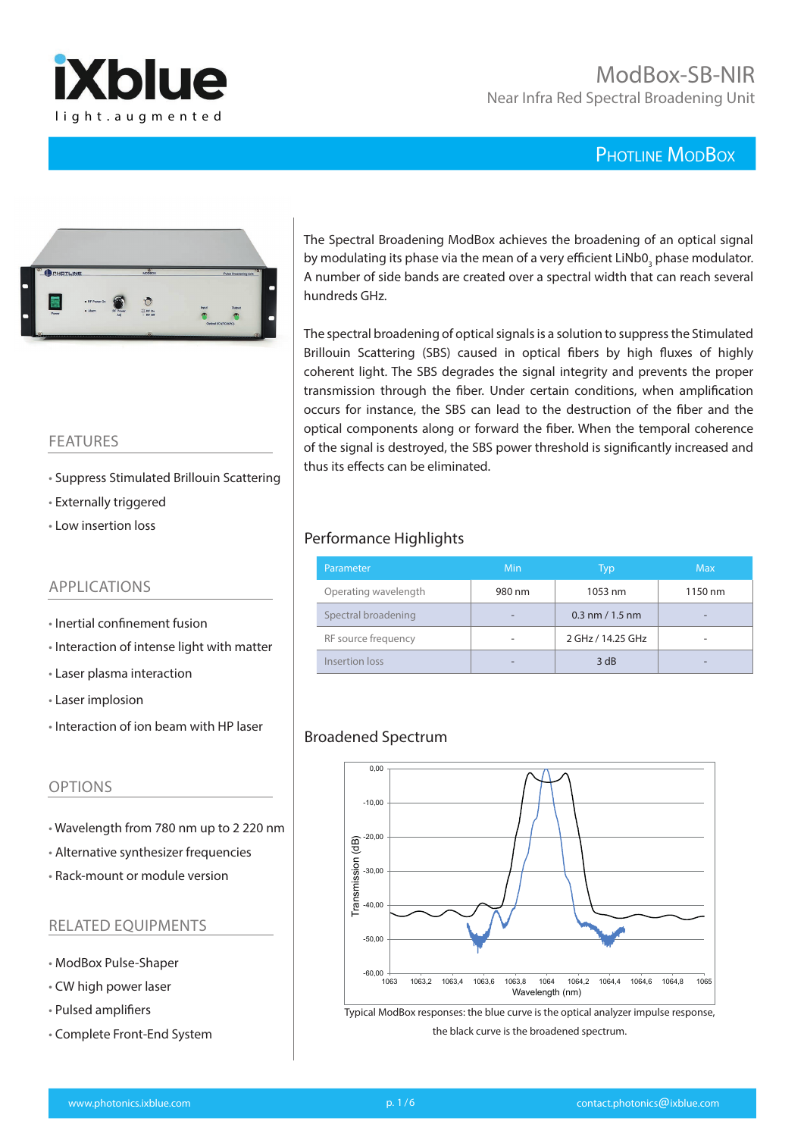



## FEATURES

- Suppress Stimulated Brillouin Scattering
- Externally triggered
- Low insertion loss

## APPLICATIONS

- Inertial confinement fusion
- Interaction of intense light with matter
- Laser plasma interaction
- Laser implosion
- Interaction of ion beam with HP laser

## OPTIONS

- Wavelength from 780 nm up to 2 220 nm
- Alternative synthesizer frequencies
- Rack-mount or module version

#### RELATED EQUIPMENTS

- ModBox Pulse-Shaper
- CW high power laser
- Pulsed amplifiers
- Complete Front-End System

The Spectral Broadening ModBox achieves the broadening of an optical signal by modulating its phase via the mean of a very efficient  $\text{LiNbO}_3$  phase modulator. A number of side bands are created over a spectral width that can reach several hundreds GHz.

The spectral broadening of optical signals is a solution to suppress the Stimulated Brillouin Scattering (SBS) caused in optical fibers by high fluxes of highly coherent light. The SBS degrades the signal integrity and prevents the proper transmission through the fiber. Under certain conditions, when amplification occurs for instance, the SBS can lead to the destruction of the fiber and the optical components along or forward the fiber. When the temporal coherence of the signal is destroyed, the SBS power threshold is significantly increased and thus its effects can be eliminated.

## Performance Highlights

| Parameter            | Min    | Typ                 | <b>Max</b> |
|----------------------|--------|---------------------|------------|
| Operating wavelength | 980 nm | 1053 nm             | 1150 nm    |
| Spectral broadening  |        | $0.3$ nm $/ 1.5$ nm |            |
| RF source frequency  |        | 2 GHz / 14.25 GHz   |            |
| Insertion loss       |        | 3 dB                |            |

## Broadened Spectrum



Typical ModBox responses: the blue curve is the optical analyzer impulse response, the black curve is the broadened spectrum.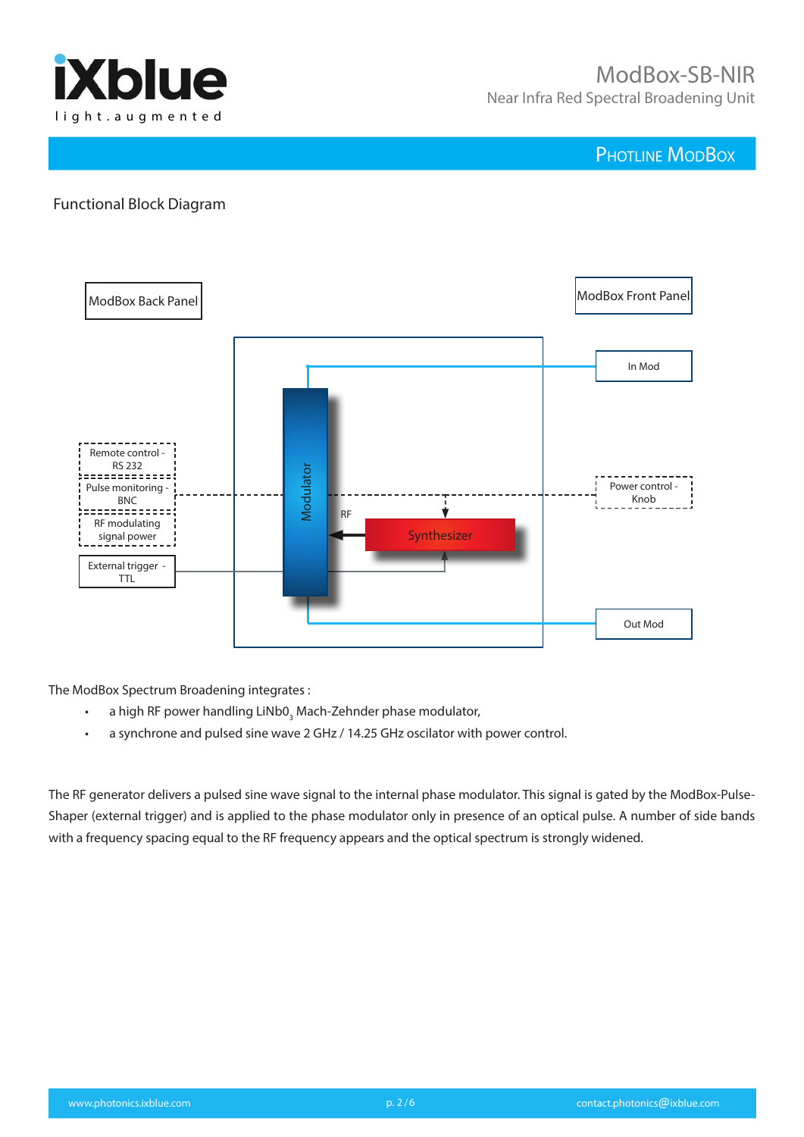

## Functional Block Diagram



The ModBox Spectrum Broadening integrates :

- a high RF power handling LiNb0<sub>3</sub> Mach-Zehnder phase modulator,
- a synchrone and pulsed sine wave 2 GHz / 14.25 GHz oscilator with power control.

The RF generator delivers a pulsed sine wave signal to the internal phase modulator. This signal is gated by the ModBox-Pulse-Shaper (external trigger) and is applied to the phase modulator only in presence of an optical pulse. A number of side bands with a frequency spacing equal to the RF frequency appears and the optical spectrum is strongly widened.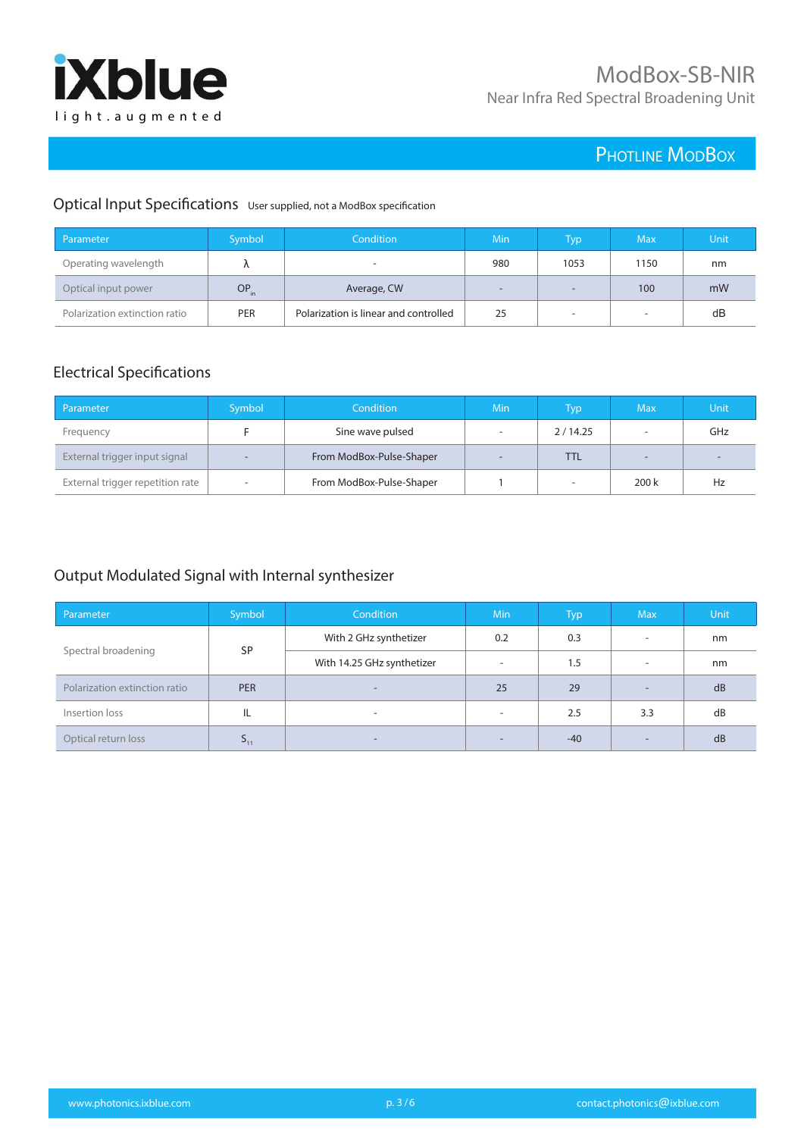

## Optical Input Specifications User supplied, not a ModBox specification

| Parameter                     | Symbol           | Condition                             | Min | Typ                      | Max  | Unit |
|-------------------------------|------------------|---------------------------------------|-----|--------------------------|------|------|
| Operating wavelength          |                  |                                       | 980 | 1053                     | 1150 | nm   |
| Optical input power           | OP <sub>in</sub> | Average, CW                           | -   | $\overline{\phantom{a}}$ | 100  | mW   |
| Polarization extinction ratio | <b>PER</b>       | Polarization is linear and controlled | 25  | $\overline{\phantom{a}}$ |      | dB   |

## Electrical Specifications

| Parameter                        | Symbol                   | <b>Condition</b>         | Min                      | Typ\                     | <b>Max</b>               | Unit                     |
|----------------------------------|--------------------------|--------------------------|--------------------------|--------------------------|--------------------------|--------------------------|
| Frequency                        |                          | Sine wave pulsed         | $\overline{\phantom{a}}$ | 2/14.25                  |                          | GHz                      |
| External trigger input signal    | ٠                        | From ModBox-Pulse-Shaper | $\sim$                   | TTL                      | $\overline{\phantom{a}}$ | $\overline{\phantom{a}}$ |
| External trigger repetition rate | $\overline{\phantom{a}}$ | From ModBox-Pulse-Shaper |                          | $\overline{\phantom{a}}$ | 200k                     | Hz                       |

## Output Modulated Signal with Internal synthesizer

| Parameter                     | Symbol          | <b>Condition</b>           | <b>Min</b>               | <b>Typ</b> | <b>Max</b>               | <b>Unit</b> |
|-------------------------------|-----------------|----------------------------|--------------------------|------------|--------------------------|-------------|
|                               | <b>SP</b>       | With 2 GHz synthetizer     | 0.2                      | 0.3        | $\overline{\phantom{a}}$ | nm          |
| Spectral broadening           |                 | With 14.25 GHz synthetizer | $\sim$                   | 1.5        | $\overline{\phantom{a}}$ | nm          |
| Polarization extinction ratio | <b>PER</b>      | ۰.                         | 25                       | 29         | $\overline{\phantom{a}}$ | dB          |
| Insertion loss                | IL              | $\overline{\phantom{a}}$   | $\overline{\phantom{a}}$ | 2.5        | 3.3                      | dB          |
| Optical return loss           | > <sub>11</sub> | -                          | $\overline{\phantom{0}}$ | $-40$      | $\sim$                   | dB          |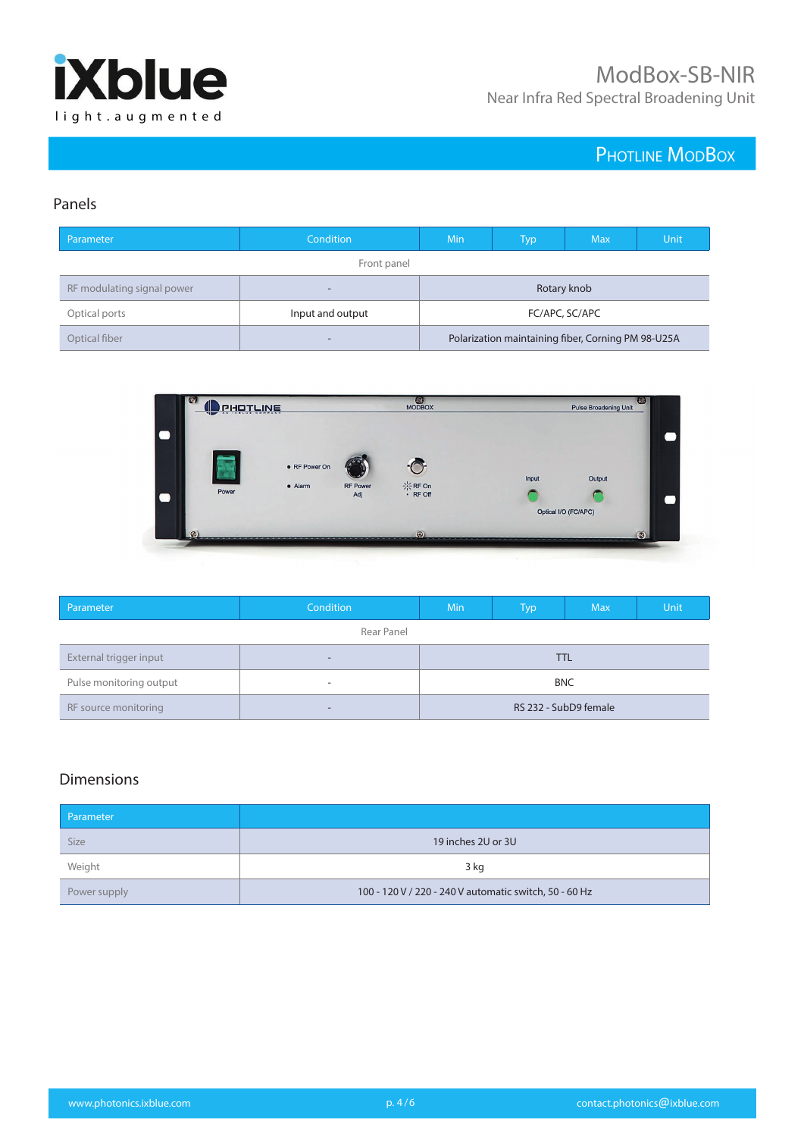

## Panels

| Parameter                  | Condition        | Min                                                | Typ | <b>Max</b> | Unit |
|----------------------------|------------------|----------------------------------------------------|-----|------------|------|
|                            | Front panel      |                                                    |     |            |      |
| RF modulating signal power | -                | Rotary knob                                        |     |            |      |
| Optical ports              | Input and output | FC/APC, SC/APC                                     |     |            |      |
| Optical fiber              | -                | Polarization maintaining fiber, Corning PM 98-U25A |     |            |      |



| Parameter               | Condition                | <b>Min</b> | Typ                   | <b>Max</b> | Unit |
|-------------------------|--------------------------|------------|-----------------------|------------|------|
|                         | Rear Panel               |            |                       |            |      |
| External trigger input  | $\overline{\phantom{0}}$ |            |                       | TTL        |      |
| Pulse monitoring output | $\overline{\phantom{a}}$ | <b>BNC</b> |                       |            |      |
| RF source monitoring    | $\overline{\phantom{0}}$ |            | RS 232 - SubD9 female |            |      |

## Dimensions

| Parameter    |                                                        |
|--------------|--------------------------------------------------------|
| <b>Size</b>  | 19 inches 2U or 3U                                     |
| Weight       | 3 kg                                                   |
| Power supply | 100 - 120 V / 220 - 240 V automatic switch, 50 - 60 Hz |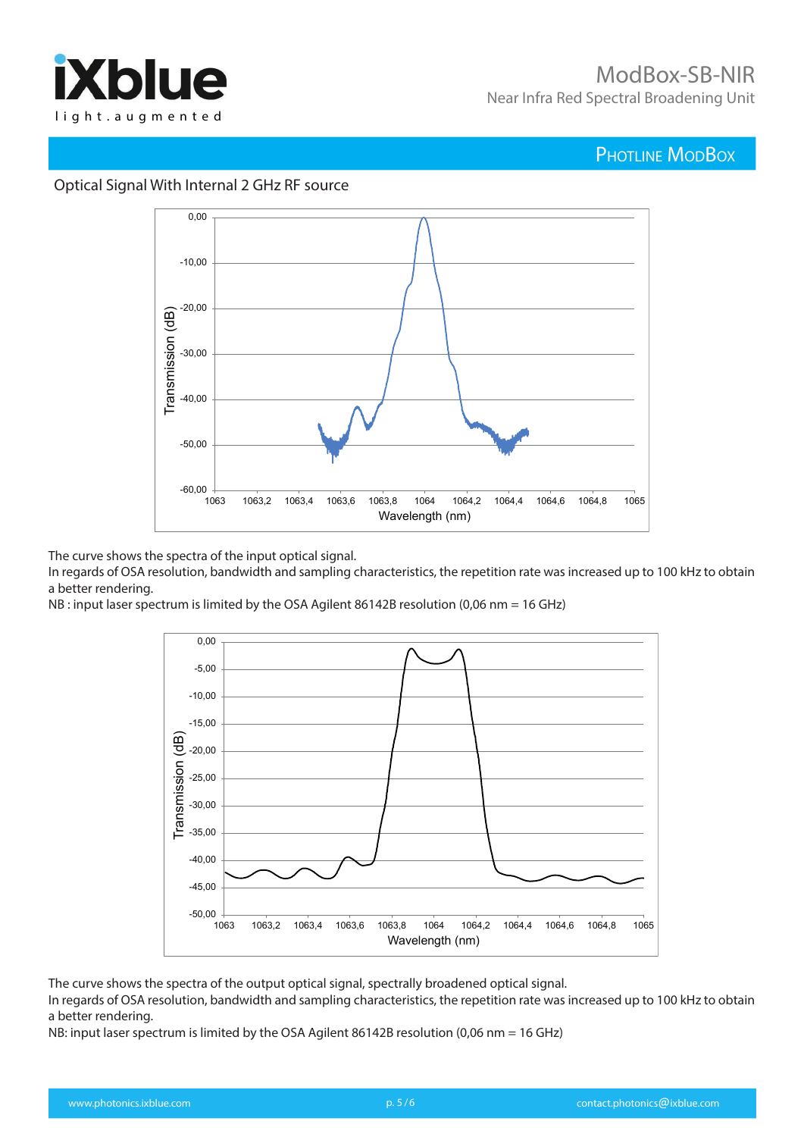



### Optical Signal With Internal 2 GHz RF source

The curve shows the spectra of the input optical signal.

In regards of OSA resolution, bandwidth and sampling characteristics, the repetition rate was increased up to 100 kHz to obtain a better rendering.

NB : input laser spectrum is limited by the OSA Agilent 86142B resolution (0,06 nm = 16 GHz)



The curve shows the spectra of the output optical signal, spectrally broadened optical signal.

In regards of OSA resolution, bandwidth and sampling characteristics, the repetition rate was increased up to 100 kHz to obtain a better rendering.

NB: input laser spectrum is limited by the OSA Agilent 86142B resolution (0,06 nm = 16 GHz)